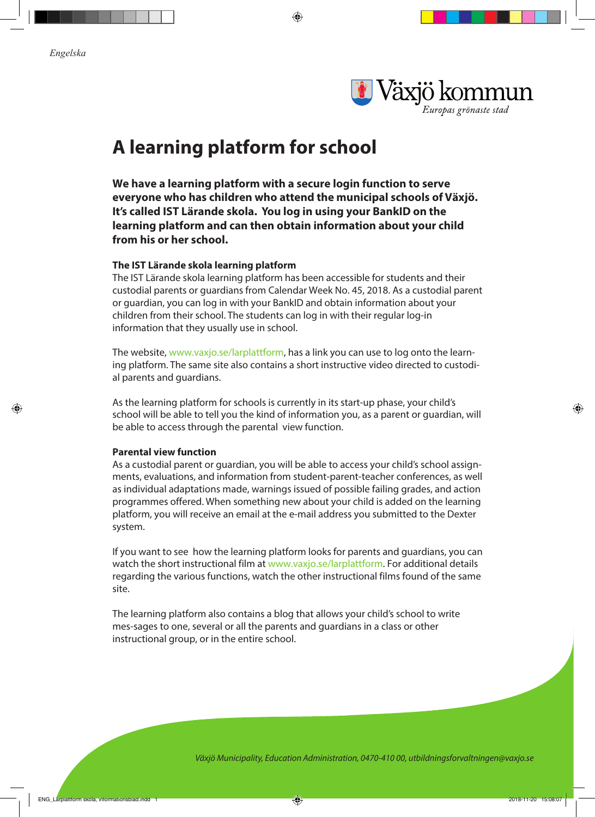⊕



# **A learning platform for school**

**We have a learning platform with a secure login function to serve everyone who has children who attend the municipal schools of Växjö. It's called IST Lärande skola. You log in using your BankID on the learning platform and can then obtain information about your child from his or her school.** 

⊕

## **The IST Lärande skola learning platform**

The IST Lärande skola learning platform has been accessible for students and their custodial parents or guardians from Calendar Week No. 45, 2018. As a custodial parent or guardian, you can log in with your BankID and obtain information about your children from their school. The students can log in with their regular log-in information that they usually use in school.

The website, www.vaxjo.se/larplattform, has a link you can use to log onto the learning platform. The same site also contains a short instructive video directed to custodial parents and guardians.

As the learning platform for schools is currently in its start-up phase, your child's school will be able to tell you the kind of information you, as a parent or guardian, will be able to access through the parental view function.

### **Parental view function**

As a custodial parent or guardian, you will be able to access your child's school assignments, evaluations, and information from student-parent-teacher conferences, as well as individual adaptations made, warnings issued of possible failing grades, and action programmes offered. When something new about your child is added on the learning platform, you will receive an email at the e-mail address you submitted to the Dexter system.

If you want to see how the learning platform looks for parents and guardians, you can watch the short instructional film at www.vaxjo.se/larplattform. For additional details regarding the various functions, watch the other instructional films found of the same site.

The learning platform also contains a blog that allows your child's school to write mes-sages to one, several or all the parents and guardians in a class or other instructional group, or in the entire school.

*Växjö Municipality, Education Administration, 0470-410 00, utbildningsforvaltningen@vaxjo.se*

♠